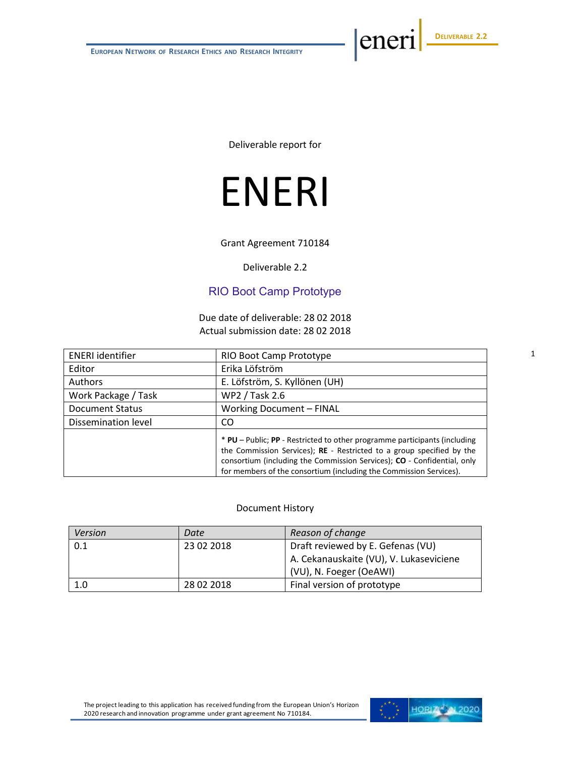eneri

Deliverable report for

# ENERI

Grant Agreement 710184

Deliverable 2.2

### RIO Boot Camp Prototype

Due date of deliverable: 28 02 2018 Actual submission date: 28 02 2018

| <b>ENERI</b> identifier | RIO Boot Camp Prototype                                                                                                                                                                                                                                                                             |  |  |
|-------------------------|-----------------------------------------------------------------------------------------------------------------------------------------------------------------------------------------------------------------------------------------------------------------------------------------------------|--|--|
| Editor                  | Erika Löfström                                                                                                                                                                                                                                                                                      |  |  |
| Authors                 | E. Löfström, S. Kyllönen (UH)                                                                                                                                                                                                                                                                       |  |  |
| Work Package / Task     | WP2 / Task 2.6                                                                                                                                                                                                                                                                                      |  |  |
| <b>Document Status</b>  | Working Document - FINAL                                                                                                                                                                                                                                                                            |  |  |
| Dissemination level     | CO                                                                                                                                                                                                                                                                                                  |  |  |
|                         | * PU - Public; PP - Restricted to other programme participants (including<br>the Commission Services); RE - Restricted to a group specified by the<br>consortium (including the Commission Services); CO - Confidential, only<br>for members of the consortium (including the Commission Services). |  |  |

#### Document History

| Version | Date                                    | Reason of change                  |  |  |  |
|---------|-----------------------------------------|-----------------------------------|--|--|--|
| 0.1     | 23 02 2018                              | Draft reviewed by E. Gefenas (VU) |  |  |  |
|         | A. Cekanauskaite (VU), V. Lukaseviciene |                                   |  |  |  |
|         |                                         | (VU), N. Foeger (OeAWI)           |  |  |  |
| 1.0     | 28 02 2018                              | Final version of prototype        |  |  |  |

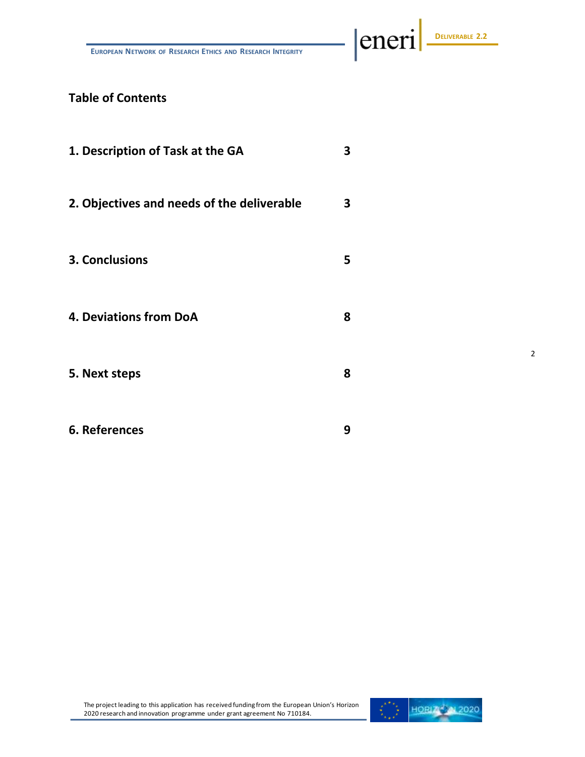**EUROPEAN NETWORK OF RESEARCH ETHICS AND RESEARCH INTEGRITY**

# **DELIVERABLE 2.2**

eneri

2

# **Table of Contents**

| 1. Description of Task at the GA           | 3 |
|--------------------------------------------|---|
| 2. Objectives and needs of the deliverable | 3 |
| 3. Conclusions                             | 5 |
| <b>4. Deviations from DoA</b>              | 8 |
| 5. Next steps                              | 8 |
| 6. References                              | 9 |

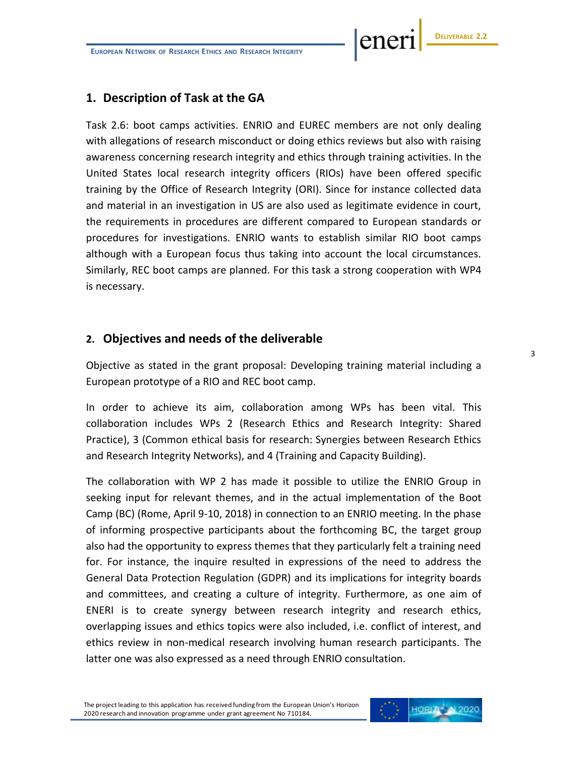ener

# **1. Description of Task at the GA**

Task 2.6: boot camps activities. ENRIO and EUREC members are not only dealing with allegations of research misconduct or doing ethics reviews but also with raising awareness concerning research integrity and ethics through training activities. In the United States local research integrity officers (RIOs) have been offered specific training by the Office of Research Integrity (ORI). Since for instance collected data and material in an investigation in US are also used as legitimate evidence in court, the requirements in procedures are different compared to European standards or procedures for investigations. ENRIO wants to establish similar RIO boot camps although with a European focus thus taking into account the local circumstances. Similarly, REC boot camps are planned. For this task a strong cooperation with WP4 is necessary.

#### **2. Objectives and needs of the deliverable**

Objective as stated in the grant proposal: Developing training material including a European prototype of a RIO and REC boot camp.

In order to achieve its aim, collaboration among WPs has been vital. This collaboration includes WPs 2 (Research Ethics and Research Integrity: Shared Practice), 3 (Common ethical basis for research: Synergies between Research Ethics and Research Integrity Networks), and 4 (Training and Capacity Building).

The collaboration with WP 2 has made it possible to utilize the ENRIO Group in seeking input for relevant themes, and in the actual implementation of the Boot Camp (BC) (Rome, April 9-10, 2018) in connection to an ENRIO meeting. In the phase of informing prospective participants about the forthcoming BC, the target group also had the opportunity to express themes that they particularly felt a training need for. For instance, the inquire resulted in expressions of the need to address the General Data Protection Regulation (GDPR) and its implications for integrity boards and committees, and creating a culture of integrity. Furthermore, as one aim of ENERI is to create synergy between research integrity and research ethics, overlapping issues and ethics topics were also included, i.e. conflict of interest, and ethics review in non-medical research involving human research participants. The latter one was also expressed as a need through ENRIO consultation.

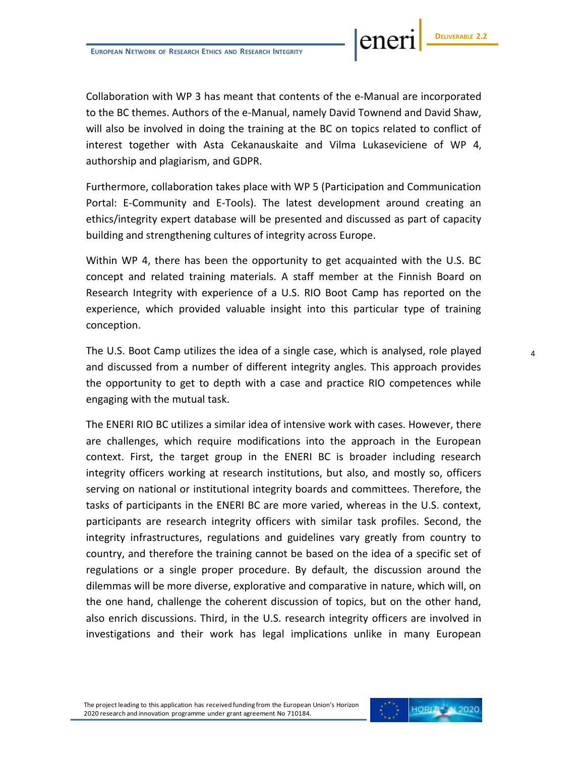Collaboration with WP 3 has meant that contents of the e-Manual are incorporated to the BC themes. Authors of the e-Manual, namely David Townend and David Shaw, will also be involved in doing the training at the BC on topics related to conflict of interest together with Asta Cekanauskaite and Vilma Lukaseviciene of WP 4, authorship and plagiarism, and GDPR.

Furthermore, collaboration takes place with WP 5 (Participation and Communication Portal: E-Community and E-Tools). The latest development around creating an ethics/integrity expert database will be presented and discussed as part of capacity building and strengthening cultures of integrity across Europe.

Within WP 4, there has been the opportunity to get acquainted with the U.S. BC concept and related training materials. A staff member at the Finnish Board on Research Integrity with experience of a U.S. RIO Boot Camp has reported on the experience, which provided valuable insight into this particular type of training conception.

The U.S. Boot Camp utilizes the idea of a single case, which is analysed, role played and discussed from a number of different integrity angles. This approach provides the opportunity to get to depth with a case and practice RIO competences while engaging with the mutual task.

The ENERI RIO BC utilizes a similar idea of intensive work with cases. However, there are challenges, which require modifications into the approach in the European context. First, the target group in the ENERI BC is broader including research integrity officers working at research institutions, but also, and mostly so, officers serving on national or institutional integrity boards and committees. Therefore, the tasks of participants in the ENERI BC are more varied, whereas in the U.S. context, participants are research integrity officers with similar task profiles. Second, the integrity infrastructures, regulations and guidelines vary greatly from country to country, and therefore the training cannot be based on the idea of a specific set of regulations or a single proper procedure. By default, the discussion around the dilemmas will be more diverse, explorative and comparative in nature, which will, on the one hand, challenge the coherent discussion of topics, but on the other hand, also enrich discussions. Third, in the U.S. research integrity officers are involved in investigations and their work has legal implications unlike in many European



ene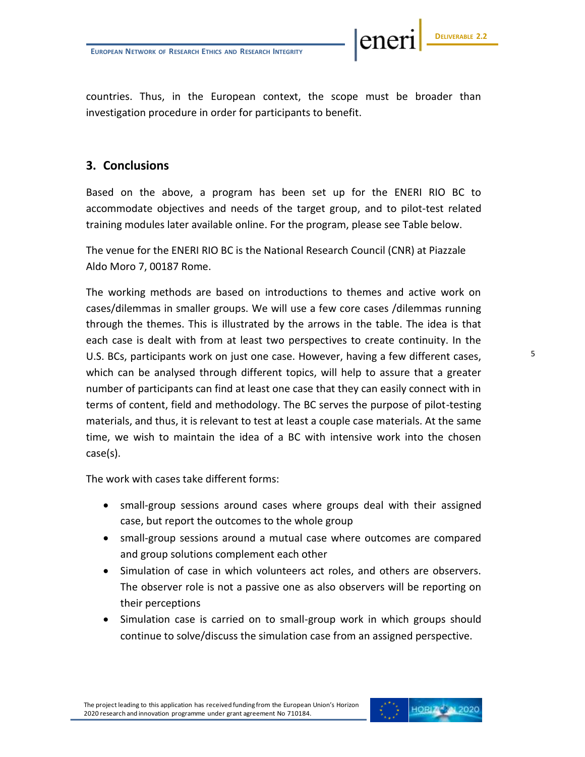ene

countries. Thus, in the European context, the scope must be broader than investigation procedure in order for participants to benefit.

# **3. Conclusions**

Based on the above, a program has been set up for the ENERI RIO BC to accommodate objectives and needs of the target group, and to pilot-test related training modules later available online. For the program, please see Table below.

The venue for the ENERI RIO BC is the National Research Council (CNR) at Piazzale Aldo Moro 7, 00187 Rome.

The working methods are based on introductions to themes and active work on cases/dilemmas in smaller groups. We will use a few core cases /dilemmas running through the themes. This is illustrated by the arrows in the table. The idea is that each case is dealt with from at least two perspectives to create continuity. In the U.S. BCs, participants work on just one case. However, having a few different cases, which can be analysed through different topics, will help to assure that a greater number of participants can find at least one case that they can easily connect with in terms of content, field and methodology. The BC serves the purpose of pilot-testing materials, and thus, it is relevant to test at least a couple case materials. At the same time, we wish to maintain the idea of a BC with intensive work into the chosen case(s).

The work with cases take different forms:

- small-group sessions around cases where groups deal with their assigned case, but report the outcomes to the whole group
- small-group sessions around a mutual case where outcomes are compared and group solutions complement each other
- Simulation of case in which volunteers act roles, and others are observers. The observer role is not a passive one as also observers will be reporting on their perceptions
- Simulation case is carried on to small-group work in which groups should continue to solve/discuss the simulation case from an assigned perspective.

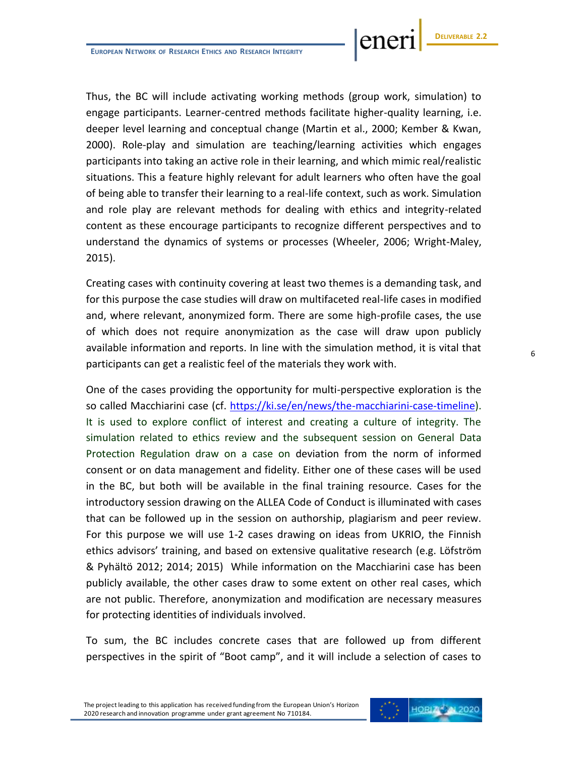Thus, the BC will include activating working methods (group work, simulation) to engage participants. Learner-centred methods facilitate higher-quality learning, i.e. deeper level learning and conceptual change (Martin et al., 2000; Kember & Kwan, 2000). Role-play and simulation are teaching/learning activities which engages participants into taking an active role in their learning, and which mimic real/realistic situations. This a feature highly relevant for adult learners who often have the goal of being able to transfer their learning to a real-life context, such as work. Simulation and role play are relevant methods for dealing with ethics and integrity-related content as these encourage participants to recognize different perspectives and to understand the dynamics of systems or processes (Wheeler, 2006; Wright-Maley, 2015).

Creating cases with continuity covering at least two themes is a demanding task, and for this purpose the case studies will draw on multifaceted real-life cases in modified and, where relevant, anonymized form. There are some high-profile cases, the use of which does not require anonymization as the case will draw upon publicly available information and reports. In line with the simulation method, it is vital that participants can get a realistic feel of the materials they work with.

One of the cases providing the opportunity for multi-perspective exploration is the so called Macchiarini case (cf. [https://ki.se/en/news/the-macchiarini-case-timeline\)](https://ki.se/en/news/the-macchiarini-case-timeline). It is used to explore conflict of interest and creating a culture of integrity. The simulation related to ethics review and the subsequent session on General Data Protection Regulation draw on a case on deviation from the norm of informed consent or on data management and fidelity. Either one of these cases will be used in the BC, but both will be available in the final training resource. Cases for the introductory session drawing on the ALLEA Code of Conduct is illuminated with cases that can be followed up in the session on authorship, plagiarism and peer review. For this purpose we will use 1-2 cases drawing on ideas from UKRIO, the Finnish ethics advisors' training, and based on extensive qualitative research (e.g. Löfström & Pyhältö 2012; 2014; 2015) While information on the Macchiarini case has been publicly available, the other cases draw to some extent on other real cases, which are not public. Therefore, anonymization and modification are necessary measures for protecting identities of individuals involved.

To sum, the BC includes concrete cases that are followed up from different perspectives in the spirit of "Boot camp", and it will include a selection of cases to

The project leading to this application has received funding from the European Union's Horizon 2020 research and innovation programme under grant agreement No 710184.



**DELIVERABLE 2.2**

ene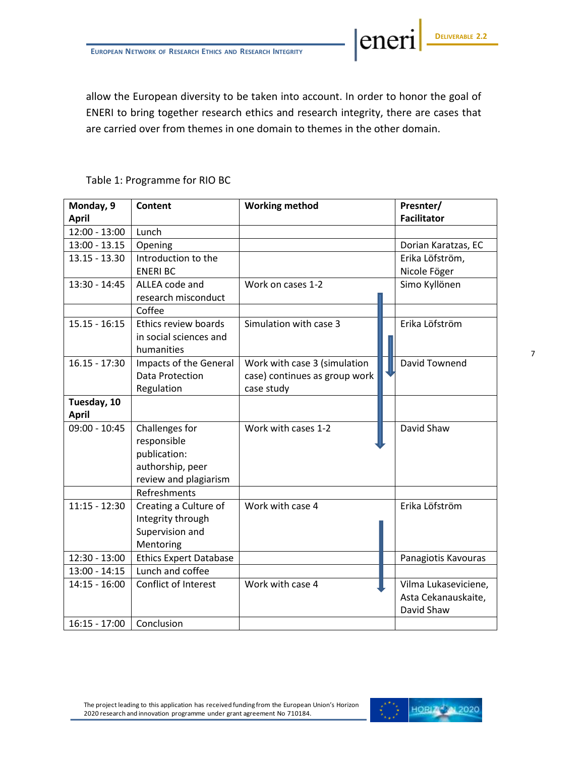allow the European diversity to be taken into account. In order to honor the goal of ENERI to bring together research ethics and research integrity, there are cases that are carried over from themes in one domain to themes in the other domain.

#### Table 1: Programme for RIO BC

| Monday, 9<br><b>April</b> | <b>Content</b>                             | <b>Working method</b>         | Presnter/<br><b>Facilitator</b> |
|---------------------------|--------------------------------------------|-------------------------------|---------------------------------|
| $12:00 - 13:00$           | Lunch                                      |                               |                                 |
| $13:00 - 13.15$           | Opening                                    |                               | Dorian Karatzas, EC             |
| $13.15 - 13.30$           | Introduction to the                        |                               | Erika Löfström,                 |
|                           | <b>ENERIBC</b>                             |                               | Nicole Föger                    |
| $13:30 - 14:45$           | ALLEA code and                             | Work on cases 1-2             | Simo Kyllönen                   |
|                           | research misconduct                        |                               |                                 |
|                           | Coffee                                     |                               |                                 |
| $15.15 - 16:15$           | Ethics review boards                       | Simulation with case 3        | Erika Löfström                  |
|                           | in social sciences and                     |                               |                                 |
|                           | humanities                                 |                               |                                 |
| $16.15 - 17:30$           | Impacts of the General                     | Work with case 3 (simulation  | David Townend                   |
|                           | <b>Data Protection</b>                     | case) continues as group work |                                 |
|                           | Regulation                                 | case study                    |                                 |
| Tuesday, 10               |                                            |                               |                                 |
| <b>April</b>              |                                            |                               |                                 |
| $09:00 - 10:45$           | Challenges for                             | Work with cases 1-2           | David Shaw                      |
|                           | responsible                                |                               |                                 |
|                           | publication:                               |                               |                                 |
|                           | authorship, peer                           |                               |                                 |
|                           | review and plagiarism                      |                               |                                 |
|                           | Refreshments                               |                               |                                 |
| $11:15 - 12:30$           | Creating a Culture of<br>Integrity through | Work with case 4              | Erika Löfström                  |
|                           | Supervision and                            |                               |                                 |
|                           | Mentoring                                  |                               |                                 |
| $12:30 - 13:00$           | <b>Ethics Expert Database</b>              |                               | Panagiotis Kavouras             |
| $13:00 - 14:15$           | Lunch and coffee                           |                               |                                 |
| $14:15 - 16:00$           | Conflict of Interest                       | Work with case 4              | Vilma Lukaseviciene,            |
|                           |                                            |                               | Asta Cekanauskaite,             |
|                           |                                            |                               | David Shaw                      |
| $16:15 - 17:00$           | Conclusion                                 |                               |                                 |



eneri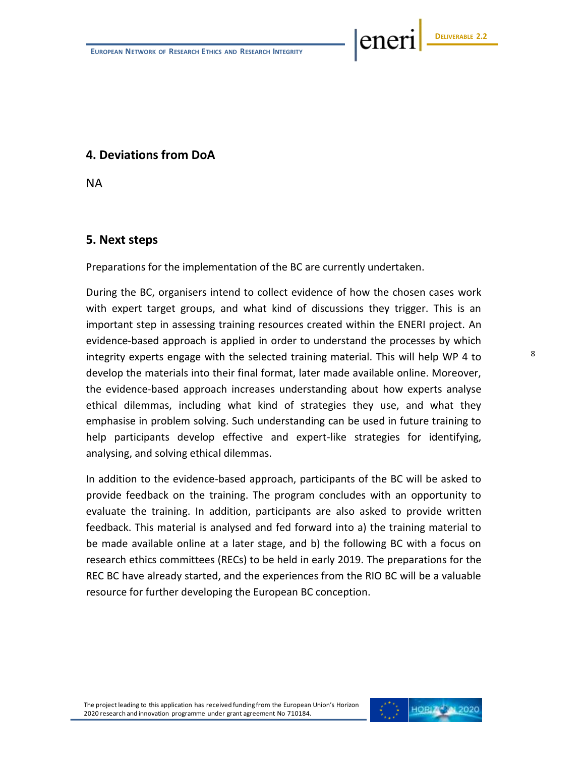ener

# **4. Deviations from DoA**

NA

#### **5. Next steps**

Preparations for the implementation of the BC are currently undertaken.

During the BC, organisers intend to collect evidence of how the chosen cases work with expert target groups, and what kind of discussions they trigger. This is an important step in assessing training resources created within the ENERI project. An evidence-based approach is applied in order to understand the processes by which integrity experts engage with the selected training material. This will help WP 4 to develop the materials into their final format, later made available online. Moreover, the evidence-based approach increases understanding about how experts analyse ethical dilemmas, including what kind of strategies they use, and what they emphasise in problem solving. Such understanding can be used in future training to help participants develop effective and expert-like strategies for identifying, analysing, and solving ethical dilemmas.

In addition to the evidence-based approach, participants of the BC will be asked to provide feedback on the training. The program concludes with an opportunity to evaluate the training. In addition, participants are also asked to provide written feedback. This material is analysed and fed forward into a) the training material to be made available online at a later stage, and b) the following BC with a focus on research ethics committees (RECs) to be held in early 2019. The preparations for the REC BC have already started, and the experiences from the RIO BC will be a valuable resource for further developing the European BC conception.

The project leading to this application has received funding from the European Union's Horizon 2020 research and innovation programme under grant agreement No 710184.